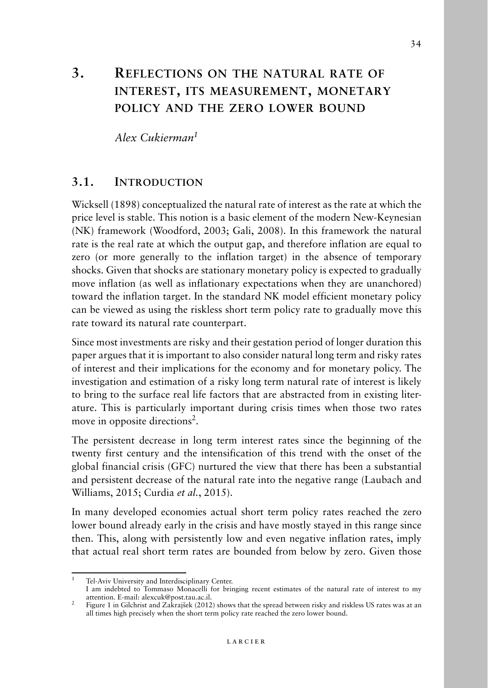# **3. REFLECTIONS ON THE NATURAL RATE OF INTEREST, ITS MEASUREMENT, MONETARY POLICY AND THE ZERO LOWER BOUND**

*Alex Cukierman1*

#### **3.1. INTRODUCTION**

Wicksell (1898) conceptualized the natural rate of interest as the rate at which the price level is stable. This notion is a basic element of the modern New-Keynesian (NK) framework (Woodford, 2003; Gali, 2008). In this framework the natural rate is the real rate at which the output gap, and therefore inflation are equal to zero (or more generally to the inflation target) in the absence of temporary shocks. Given that shocks are stationary monetary policy is expected to gradually move inflation (as well as inflationary expectations when they are unanchored) toward the inflation target. In the standard NK model efficient monetary policy can be viewed as using the riskless short term policy rate to gradually move this rate toward its natural rate counterpart.

Since most investments are risky and their gestation period of longer duration this paper argues that it is important to also consider natural long term and risky rates of interest and their implications for the economy and for monetary policy. The investigation and estimation of a risky long term natural rate of interest is likely to bring to the surface real life factors that are abstracted from in existing literature. This is particularly important during crisis times when those two rates move in opposite directions<sup>2</sup>.

The persistent decrease in long term interest rates since the beginning of the twenty first century and the intensification of this trend with the onset of the global financial crisis (GFC) nurtured the view that there has been a substantial and persistent decrease of the natural rate into the negative range (Laubach and Williams, 2015; Curdia *et al.*, 2015).

In many developed economies actual short term policy rates reached the zero lower bound already early in the crisis and have mostly stayed in this range since then. This, along with persistently low and even negative inflation rates, imply that actual real short term rates are bounded from below by zero. Given those

Tel-Aviv University and Interdisciplinary Center.

I am indebted to Tommaso Monacelli for bringing recent estimates of the natural rate of interest to my

 $\frac{1}{2}$  Figure 1 in Gilchrist and Zakrajšek (2012) shows that the spread between risky and riskless US rates was at an all times high precisely when the short term policy rate reached the zero lower bound.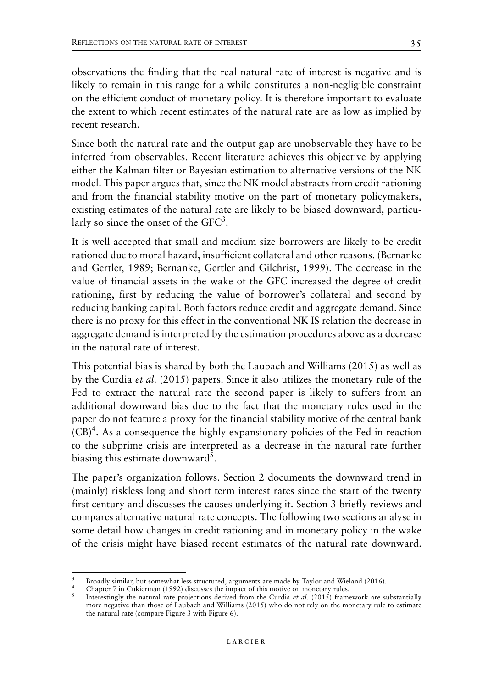observations the finding that the real natural rate of interest is negative and is likely to remain in this range for a while constitutes a non-negligible constraint on the efficient conduct of monetary policy. It is therefore important to evaluate the extent to which recent estimates of the natural rate are as low as implied by recent research.

Since both the natural rate and the output gap are unobservable they have to be inferred from observables. Recent literature achieves this objective by applying either the Kalman filter or Bayesian estimation to alternative versions of the NK model. This paper argues that, since the NK model abstracts from credit rationing and from the financial stability motive on the part of monetary policymakers, existing estimates of the natural rate are likely to be biased downward, particularly so since the onset of the  $GFC<sup>3</sup>$ .

It is well accepted that small and medium size borrowers are likely to be credit rationed due to moral hazard, insufficient collateral and other reasons. (Bernanke and Gertler, 1989; Bernanke, Gertler and Gilchrist, 1999). The decrease in the value of financial assets in the wake of the GFC increased the degree of credit rationing, first by reducing the value of borrower's collateral and second by reducing banking capital. Both factors reduce credit and aggregate demand. Since there is no proxy for this effect in the conventional NK IS relation the decrease in aggregate demand is interpreted by the estimation procedures above as a decrease in the natural rate of interest.

This potential bias is shared by both the Laubach and Williams (2015) as well as by the Curdia *et al.* (2015) papers. Since it also utilizes the monetary rule of the Fed to extract the natural rate the second paper is likely to suffers from an additional downward bias due to the fact that the monetary rules used in the paper do not feature a proxy for the financial stability motive of the central bank  $(CB)^4$ . As a consequence the highly expansionary policies of the Fed in reaction to the subprime crisis are interpreted as a decrease in the natural rate further biasing this estimate downward<sup>5</sup>.

The paper's organization follows. Section 2 documents the downward trend in (mainly) riskless long and short term interest rates since the start of the twenty first century and discusses the causes underlying it. Section 3 briefly reviews and compares alternative natural rate concepts. The following two sections analyse in some detail how changes in credit rationing and in monetary policy in the wake of the crisis might have biased recent estimates of the natural rate downward.

<sup>&</sup>lt;sup>3</sup> Broadly similar, but somewhat less structured, arguments are made by Taylor and Wieland (2016).<br><sup>4</sup> Chapter 7 in Cukierman (1992) discusses the impact of this motive on monetary rules.<br><sup>5</sup> Interestingly the natural ra more negative than those of Laubach and Williams (2015) who do not rely on the monetary rule to estimate the natural rate (compare Figure 3 with Figure 6).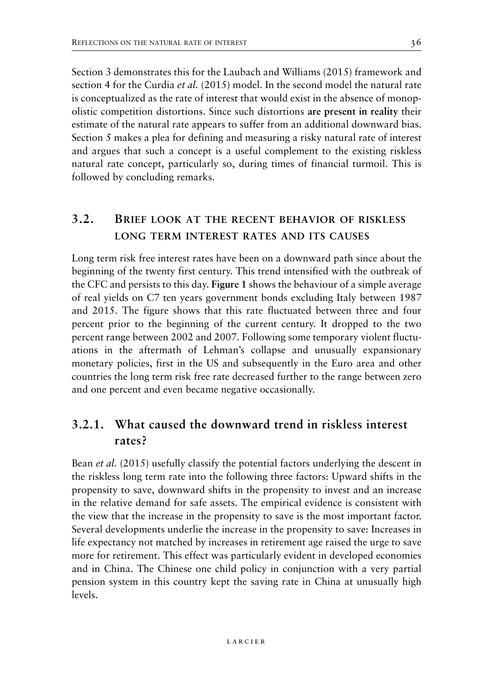Section 3 demonstrates this for the Laubach and Williams (2015) framework and section 4 for the Curdia *et al.* (2015) model. In the second model the natural rate is conceptualized as the rate of interest that would exist in the absence of monopolistic competition distortions. Since such distortions **are present in reality** their estimate of the natural rate appears to suffer from an additional downward bias. Section 5 makes a plea for defining and measuring a risky natural rate of interest and argues that such a concept is a useful complement to the existing riskless natural rate concept, particularly so, during times of financial turmoil. This is followed by concluding remarks.

## **3.2. BRIEF LOOK AT THE RECENT BEHAVIOR OF RISKLESS LONG TERM INTEREST RATES AND ITS CAUSES**

Long term risk free interest rates have been on a downward path since about the beginning of the twenty first century. This trend intensified with the outbreak of the CFC and persists to this day. **Figure 1** shows the behaviour of a simple average of real yields on C7 ten years government bonds excluding Italy between 1987 and 2015. The figure shows that this rate fluctuated between three and four percent prior to the beginning of the current century. It dropped to the two percent range between 2002 and 2007. Following some temporary violent fluctuations in the aftermath of Lehman's collapse and unusually expansionary monetary policies, first in the US and subsequently in the Euro area and other countries the long term risk free rate decreased further to the range between zero and one percent and even became negative occasionally.

## **3.2.1. What caused the downward trend in riskless interest rates?**

Bean *et al.* (2015) usefully classify the potential factors underlying the descent in the riskless long term rate into the following three factors: Upward shifts in the propensity to save, downward shifts in the propensity to invest and an increase in the relative demand for safe assets. The empirical evidence is consistent with the view that the increase in the propensity to save is the most important factor. Several developments underlie the increase in the propensity to save: Increases in life expectancy not matched by increases in retirement age raised the urge to save more for retirement. This effect was particularly evident in developed economies and in China. The Chinese one child policy in conjunction with a very partial pension system in this country kept the saving rate in China at unusually high levels.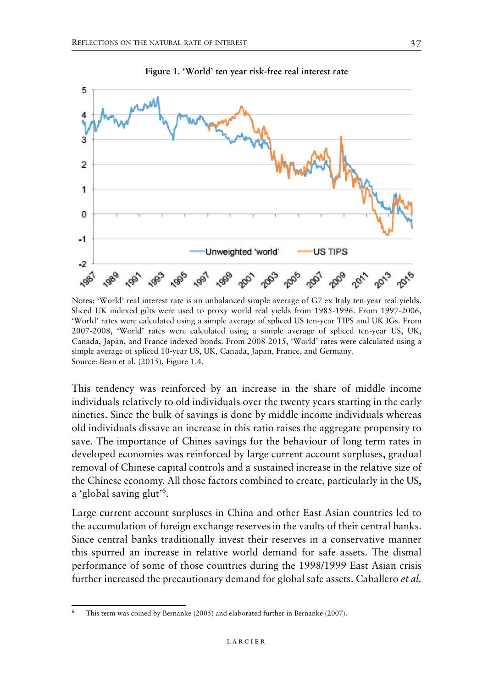

**Figure 1. 'World' ten year risk-free real interest rate**

Notes: 'World' real interest rate is an unbalanced simple average of G7 ex Italy ten-year real yields. Sliced UK indexed gilts were used to proxy world real yields from 1985-1996. From 1997-2006, 'World' rates were calculated using a simple average of spliced US ten-year TIPS and UK IGs. From 2007-2008, 'World' rates were calculated using a simple average of spliced ten-year US, UK, Canada, Japan, and France indexed bonds. From 2008-2015, 'World' rates were calculated using a simple average of spliced 10-year US, UK, Canada, Japan, France, and Germany. Source: Bean et al. (2015), Figure 1.4.

This tendency was reinforced by an increase in the share of middle income individuals relatively to old individuals over the twenty years starting in the early nineties. Since the bulk of savings is done by middle income individuals whereas old individuals dissave an increase in this ratio raises the aggregate propensity to save. The importance of Chines savings for the behaviour of long term rates in developed economies was reinforced by large current account surpluses, gradual removal of Chinese capital controls and a sustained increase in the relative size of the Chinese economy. All those factors combined to create, particularly in the US, a 'global saving glut'<sup>6</sup>.

Large current account surpluses in China and other East Asian countries led to the accumulation of foreign exchange reserves in the vaults of their central banks. Since central banks traditionally invest their reserves in a conservative manner this spurred an increase in relative world demand for safe assets. The dismal performance of some of those countries during the 1998/1999 East Asian crisis further increased the precautionary demand for global safe assets. Caballero *et al.*

This term was coined by Bernanke (2005) and elaborated further in Bernanke (2007).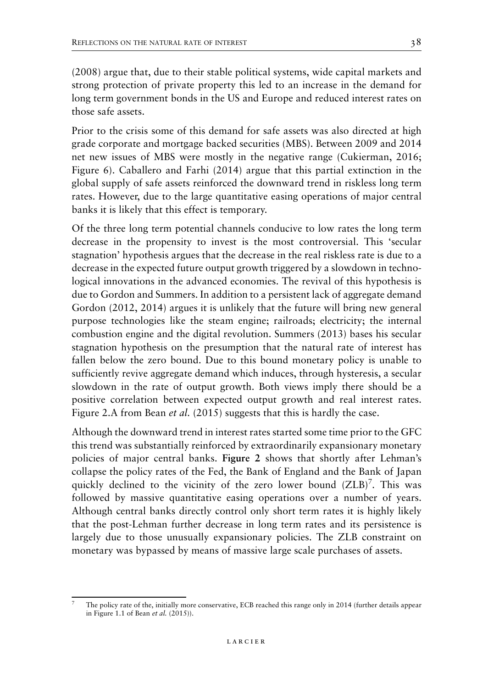(2008) argue that, due to their stable political systems, wide capital markets and strong protection of private property this led to an increase in the demand for long term government bonds in the US and Europe and reduced interest rates on those safe assets.

Prior to the crisis some of this demand for safe assets was also directed at high grade corporate and mortgage backed securities (MBS). Between 2009 and 2014 net new issues of MBS were mostly in the negative range (Cukierman, 2016; Figure 6). Caballero and Farhi (2014) argue that this partial extinction in the global supply of safe assets reinforced the downward trend in riskless long term rates. However, due to the large quantitative easing operations of major central banks it is likely that this effect is temporary.

Of the three long term potential channels conducive to low rates the long term decrease in the propensity to invest is the most controversial. This 'secular stagnation' hypothesis argues that the decrease in the real riskless rate is due to a decrease in the expected future output growth triggered by a slowdown in technological innovations in the advanced economies. The revival of this hypothesis is due to Gordon and Summers. In addition to a persistent lack of aggregate demand Gordon (2012, 2014) argues it is unlikely that the future will bring new general purpose technologies like the steam engine; railroads; electricity; the internal combustion engine and the digital revolution. Summers (2013) bases his secular stagnation hypothesis on the presumption that the natural rate of interest has fallen below the zero bound. Due to this bound monetary policy is unable to sufficiently revive aggregate demand which induces, through hysteresis, a secular slowdown in the rate of output growth. Both views imply there should be a positive correlation between expected output growth and real interest rates. Figure 2.A from Bean *et al.* (2015) suggests that this is hardly the case.

Although the downward trend in interest rates started some time prior to the GFC this trend was substantially reinforced by extraordinarily expansionary monetary policies of major central banks. **Figure 2** shows that shortly after Lehman's collapse the policy rates of the Fed, the Bank of England and the Bank of Japan quickly declined to the vicinity of the zero lower bound  $(ZLB)^7$ . This was followed by massive quantitative easing operations over a number of years. Although central banks directly control only short term rates it is highly likely that the post-Lehman further decrease in long term rates and its persistence is largely due to those unusually expansionary policies. The ZLB constraint on monetary was bypassed by means of massive large scale purchases of assets.

<sup>7</sup> The policy rate of the, initially more conservative, ECB reached this range only in 2014 (further details appear in Figure 1.1 of Bean *et al.* (2015)).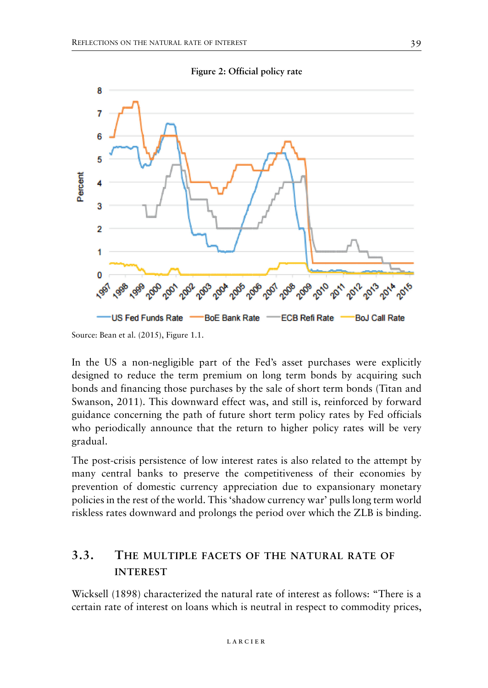

In the US a non-negligible part of the Fed's asset purchases were explicitly designed to reduce the term premium on long term bonds by acquiring such bonds and financing those purchases by the sale of short term bonds (Titan and Swanson, 2011). This downward effect was, and still is, reinforced by forward guidance concerning the path of future short term policy rates by Fed officials who periodically announce that the return to higher policy rates will be very gradual.

The post-crisis persistence of low interest rates is also related to the attempt by many central banks to preserve the competitiveness of their economies by prevention of domestic currency appreciation due to expansionary monetary policies in the rest of the world. This 'shadow currency war' pulls long term world riskless rates downward and prolongs the period over which the ZLB is binding.

### **3.3. THE MULTIPLE FACETS OF THE NATURAL RATE OF INTEREST**

Wicksell (1898) characterized the natural rate of interest as follows: "There is a certain rate of interest on loans which is neutral in respect to commodity prices,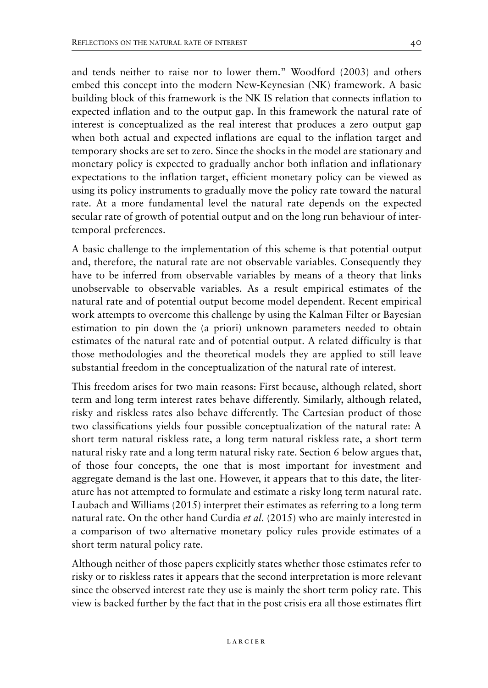and tends neither to raise nor to lower them." Woodford (2003) and others embed this concept into the modern New-Keynesian (NK) framework. A basic building block of this framework is the NK IS relation that connects inflation to expected inflation and to the output gap. In this framework the natural rate of interest is conceptualized as the real interest that produces a zero output gap when both actual and expected inflations are equal to the inflation target and temporary shocks are set to zero. Since the shocks in the model are stationary and monetary policy is expected to gradually anchor both inflation and inflationary expectations to the inflation target, efficient monetary policy can be viewed as using its policy instruments to gradually move the policy rate toward the natural rate. At a more fundamental level the natural rate depends on the expected secular rate of growth of potential output and on the long run behaviour of intertemporal preferences.

A basic challenge to the implementation of this scheme is that potential output and, therefore, the natural rate are not observable variables. Consequently they have to be inferred from observable variables by means of a theory that links unobservable to observable variables. As a result empirical estimates of the natural rate and of potential output become model dependent. Recent empirical work attempts to overcome this challenge by using the Kalman Filter or Bayesian estimation to pin down the (a priori) unknown parameters needed to obtain estimates of the natural rate and of potential output. A related difficulty is that those methodologies and the theoretical models they are applied to still leave substantial freedom in the conceptualization of the natural rate of interest.

This freedom arises for two main reasons: First because, although related, short term and long term interest rates behave differently. Similarly, although related, risky and riskless rates also behave differently. The Cartesian product of those two classifications yields four possible conceptualization of the natural rate: A short term natural riskless rate, a long term natural riskless rate, a short term natural risky rate and a long term natural risky rate. Section 6 below argues that, of those four concepts, the one that is most important for investment and aggregate demand is the last one. However, it appears that to this date, the literature has not attempted to formulate and estimate a risky long term natural rate. Laubach and Williams (2015) interpret their estimates as referring to a long term natural rate. On the other hand Curdia *et al.* (2015) who are mainly interested in a comparison of two alternative monetary policy rules provide estimates of a short term natural policy rate.

Although neither of those papers explicitly states whether those estimates refer to risky or to riskless rates it appears that the second interpretation is more relevant since the observed interest rate they use is mainly the short term policy rate. This view is backed further by the fact that in the post crisis era all those estimates flirt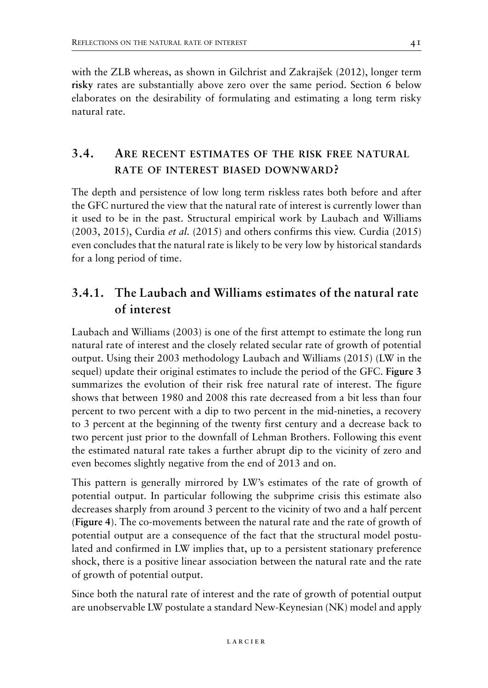with the ZLB whereas, as shown in Gilchrist and Zakrajšek (2012), longer term **risky** rates are substantially above zero over the same period. Section 6 below elaborates on the desirability of formulating and estimating a long term risky natural rate.

## **3.4. ARE RECENT ESTIMATES OF THE RISK FREE NATURAL RATE OF INTEREST BIASED DOWNWARD?**

The depth and persistence of low long term riskless rates both before and after the GFC nurtured the view that the natural rate of interest is currently lower than it used to be in the past. Structural empirical work by Laubach and Williams (2003, 2015), Curdia *et al.* (2015) and others confirms this view. Curdia (2015) even concludes that the natural rate is likely to be very low by historical standards for a long period of time.

## **3.4.1. The Laubach and Williams estimates of the natural rate of interest**

Laubach and Williams (2003) is one of the first attempt to estimate the long run natural rate of interest and the closely related secular rate of growth of potential output. Using their 2003 methodology Laubach and Williams (2015) (LW in the sequel) update their original estimates to include the period of the GFC. **Figure 3** summarizes the evolution of their risk free natural rate of interest. The figure shows that between 1980 and 2008 this rate decreased from a bit less than four percent to two percent with a dip to two percent in the mid-nineties, a recovery to 3 percent at the beginning of the twenty first century and a decrease back to two percent just prior to the downfall of Lehman Brothers. Following this event the estimated natural rate takes a further abrupt dip to the vicinity of zero and even becomes slightly negative from the end of 2013 and on.

This pattern is generally mirrored by LW's estimates of the rate of growth of potential output. In particular following the subprime crisis this estimate also decreases sharply from around 3 percent to the vicinity of two and a half percent (**Figure 4**). The co-movements between the natural rate and the rate of growth of potential output are a consequence of the fact that the structural model postulated and confirmed in LW implies that, up to a persistent stationary preference shock, there is a positive linear association between the natural rate and the rate of growth of potential output.

Since both the natural rate of interest and the rate of growth of potential output are unobservable LW postulate a standard New-Keynesian (NK) model and apply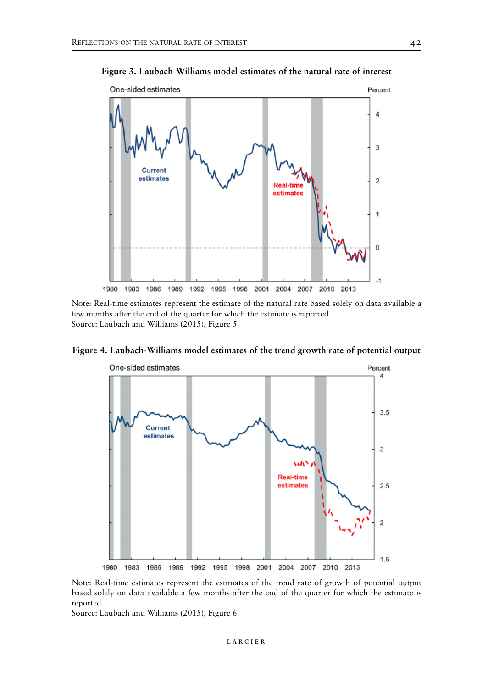**Figure 3. Laubach-Williams model estimates of the natural rate of interest**



Note: Real-time estimates represent the estimate of the natural rate based solely on data available a few months after the end of the quarter for which the estimate is reported. Source: Laubach and Williams (2015), Figure 5.



**Figure 4. Laubach-Williams model estimates of the trend growth rate of potential output**

Note: Real-time estimates represent the estimates of the trend rate of growth of potential output based solely on data available a few months after the end of the quarter for which the estimate is reported.

Source: Laubach and Williams (2015), Figure 6.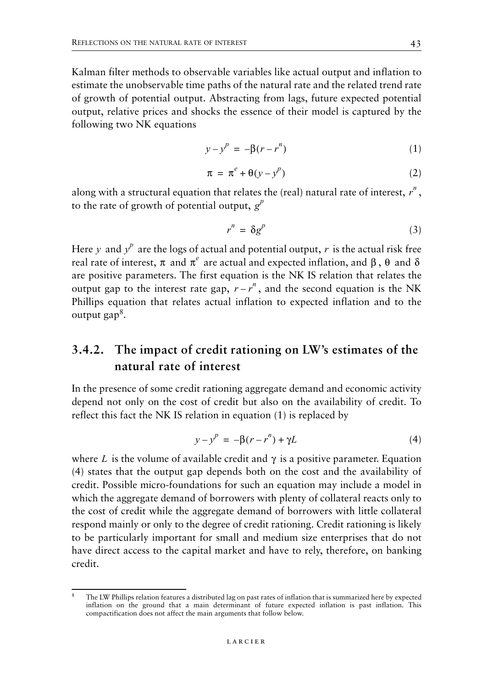Kalman filter methods to observable variables like actual output and inflation to estimate the unobservable time paths of the natural rate and the related trend rate of growth of potential output. Abstracting from lags, future expected potential output, relative prices and shocks the essence of their model is captured by the following two NK equations

$$
y - y^p = -\beta(r - r^n) \tag{1}
$$

$$
\pi = \pi^e + \theta(\gamma - \gamma^p) \tag{2}
$$

along with a structural equation that relates the (real) natural rate of interest,  $r^n$  , to the rate of growth of potential output,  $g^p$ 

$$
r^n = \delta g^p \tag{3}
$$

Here y and  $y^p$  are the logs of actual and potential output, r is the actual risk free real rate of interest,  $\pi$  and  $\pi^e$  are actual and expected inflation, and β, θ and δ are positive parameters. The first equation is the NK IS relation that relates the output gap to the interest rate gap,  $r - r^n$ , and the second equation is the NK Phillips equation that relates actual inflation to expected inflation and to the output gap<sup>8</sup>.

## **3.4.2. The impact of credit rationing on LW's estimates of the natural rate of interest**

In the presence of some credit rationing aggregate demand and economic activity depend not only on the cost of credit but also on the availability of credit. To reflect this fact the NK IS relation in equation (1) is replaced by

$$
y - y^{p} = -\beta(r - r^{n}) + \gamma L \tag{4}
$$

where L is the volume of available credit and  $\gamma$  is a positive parameter. Equation (4) states that the output gap depends both on the cost and the availability of credit. Possible micro-foundations for such an equation may include a model in which the aggregate demand of borrowers with plenty of collateral reacts only to the cost of credit while the aggregate demand of borrowers with little collateral respond mainly or only to the degree of credit rationing. Credit rationing is likely to be particularly important for small and medium size enterprises that do not have direct access to the capital market and have to rely, therefore, on banking credit.

<sup>8</sup> The LW Phillips relation features a distributed lag on past rates of inflation that is summarized here by expected inflation on the ground that a main determinant of future expected inflation is past inflation. This compactification does not affect the main arguments that follow below.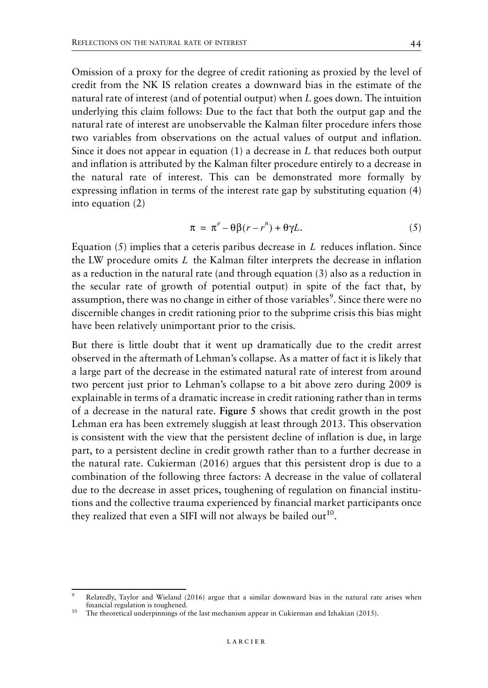Omission of a proxy for the degree of credit rationing as proxied by the level of credit from the NK IS relation creates a downward bias in the estimate of the natural rate of interest (and of potential output) when *L* goes down. The intuition underlying this claim follows: Due to the fact that both the output gap and the natural rate of interest are unobservable the Kalman filter procedure infers those two variables from observations on the actual values of output and inflation. Since it does not appear in equation (1) a decrease in *L* that reduces both output and inflation is attributed by the Kalman filter procedure entirely to a decrease in the natural rate of interest. This can be demonstrated more formally by expressing inflation in terms of the interest rate gap by substituting equation (4) into equation (2)

$$
\pi = \pi^e - \theta \beta (r - r^n) + \theta \gamma L. \tag{5}
$$

Equation  $(5)$  implies that a ceteris paribus decrease in  $L$  reduces inflation. Since the LW procedure omits  $L$  the Kalman filter interprets the decrease in inflation as a reduction in the natural rate (and through equation (3) also as a reduction in the secular rate of growth of potential output) in spite of the fact that, by assumption, there was no change in either of those variables<sup>9</sup>. Since there were no discernible changes in credit rationing prior to the subprime crisis this bias might have been relatively unimportant prior to the crisis.

But there is little doubt that it went up dramatically due to the credit arrest observed in the aftermath of Lehman's collapse. As a matter of fact it is likely that a large part of the decrease in the estimated natural rate of interest from around two percent just prior to Lehman's collapse to a bit above zero during 2009 is explainable in terms of a dramatic increase in credit rationing rather than in terms of a decrease in the natural rate. **Figure 5** shows that credit growth in the post Lehman era has been extremely sluggish at least through 2013. This observation is consistent with the view that the persistent decline of inflation is due, in large part, to a persistent decline in credit growth rather than to a further decrease in the natural rate. Cukierman (2016) argues that this persistent drop is due to a combination of the following three factors: A decrease in the value of collateral due to the decrease in asset prices, toughening of regulation on financial institutions and the collective trauma experienced by financial market participants once they realized that even a SIFI will not always be bailed out<sup>10</sup>.

Relatedly, Taylor and Wieland (2016) argue that a similar downward bias in the natural rate arises when financial regulation is toughened.

<sup>&</sup>lt;sup>10</sup> The theoretical underpinnings of the last mechanism appear in Cukierman and Izhakian (2015).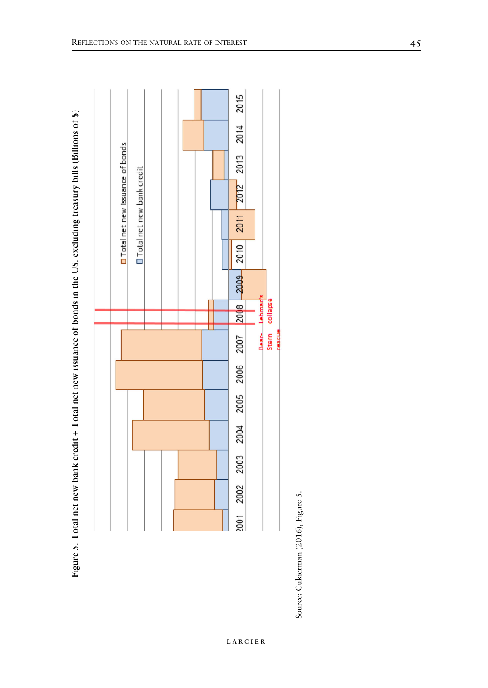| <b>On Total net new issuance of bonds</b><br>OTotal net new bank credit | 2012 2013 2014 2015<br>2011<br>2010<br>$-2009$<br>Lehmads<br>2008 |
|-------------------------------------------------------------------------|-------------------------------------------------------------------|
|                                                                         |                                                                   |
|                                                                         | Stern collapse<br>Bear-<br>encest<br>2007                         |
|                                                                         |                                                                   |
|                                                                         | 2002 2003 2004 2005 2006                                          |
|                                                                         |                                                                   |
|                                                                         |                                                                   |
|                                                                         |                                                                   |
|                                                                         | 2001                                                              |





larcier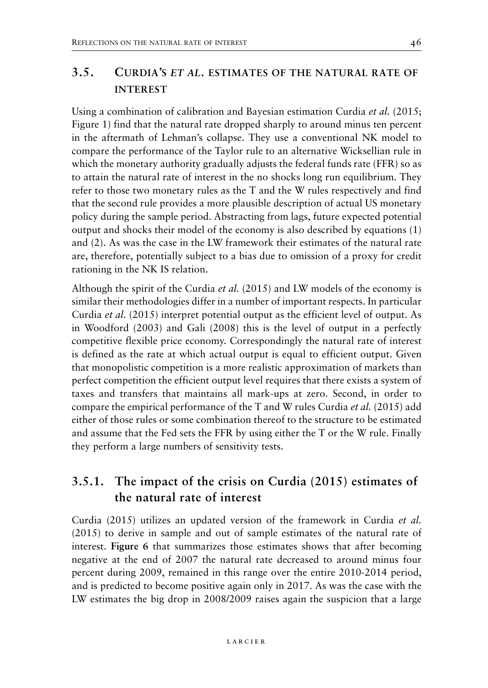## **3.5. CURDIA'S** *ET AL.* **ESTIMATES OF THE NATURAL RATE OF INTEREST**

Using a combination of calibration and Bayesian estimation Curdia *et al.* (2015; Figure 1) find that the natural rate dropped sharply to around minus ten percent in the aftermath of Lehman's collapse. They use a conventional NK model to compare the performance of the Taylor rule to an alternative Wicksellian rule in which the monetary authority gradually adjusts the federal funds rate (FFR) so as to attain the natural rate of interest in the no shocks long run equilibrium. They refer to those two monetary rules as the T and the W rules respectively and find that the second rule provides a more plausible description of actual US monetary policy during the sample period. Abstracting from lags, future expected potential output and shocks their model of the economy is also described by equations (1) and (2). As was the case in the LW framework their estimates of the natural rate are, therefore, potentially subject to a bias due to omission of a proxy for credit rationing in the NK IS relation.

Although the spirit of the Curdia *et al.* (2015) and LW models of the economy is similar their methodologies differ in a number of important respects. In particular Curdia *et al.* (2015) interpret potential output as the efficient level of output. As in Woodford (2003) and Gali (2008) this is the level of output in a perfectly competitive flexible price economy. Correspondingly the natural rate of interest is defined as the rate at which actual output is equal to efficient output. Given that monopolistic competition is a more realistic approximation of markets than perfect competition the efficient output level requires that there exists a system of taxes and transfers that maintains all mark-ups at zero. Second, in order to compare the empirical performance of the T and W rules Curdia *et al.* (2015) add either of those rules or some combination thereof to the structure to be estimated and assume that the Fed sets the FFR by using either the T or the W rule. Finally they perform a large numbers of sensitivity tests.

## **3.5.1. The impact of the crisis on Curdia (2015) estimates of the natural rate of interest**

Curdia (2015) utilizes an updated version of the framework in Curdia *et al.* (2015) to derive in sample and out of sample estimates of the natural rate of interest. **Figure 6** that summarizes those estimates shows that after becoming negative at the end of 2007 the natural rate decreased to around minus four percent during 2009, remained in this range over the entire 2010-2014 period, and is predicted to become positive again only in 2017. As was the case with the LW estimates the big drop in 2008/2009 raises again the suspicion that a large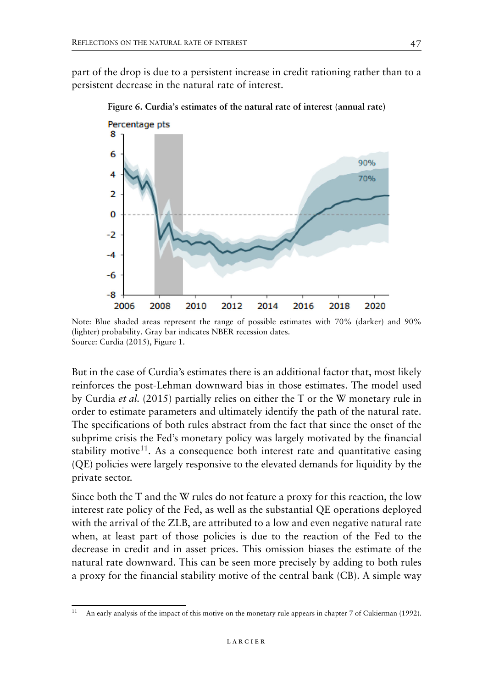part of the drop is due to a persistent increase in credit rationing rather than to a persistent decrease in the natural rate of interest.



**Figure 6. Curdia's estimates of the natural rate of interest (annual rate)**

Note: Blue shaded areas represent the range of possible estimates with 70% (darker) and 90% (lighter) probability. Gray bar indicates NBER recession dates. Source: Curdia (2015), Figure 1.

But in the case of Curdia's estimates there is an additional factor that, most likely reinforces the post-Lehman downward bias in those estimates. The model used by Curdia *et al.* (2015) partially relies on either the T or the W monetary rule in order to estimate parameters and ultimately identify the path of the natural rate. The specifications of both rules abstract from the fact that since the onset of the subprime crisis the Fed's monetary policy was largely motivated by the financial stability motive<sup>11</sup>. As a consequence both interest rate and quantitative easing (QE) policies were largely responsive to the elevated demands for liquidity by the private sector.

Since both the T and the W rules do not feature a proxy for this reaction, the low interest rate policy of the Fed, as well as the substantial QE operations deployed with the arrival of the ZLB, are attributed to a low and even negative natural rate when, at least part of those policies is due to the reaction of the Fed to the decrease in credit and in asset prices. This omission biases the estimate of the natural rate downward. This can be seen more precisely by adding to both rules a proxy for the financial stability motive of the central bank (CB). A simple way

<sup>&</sup>lt;sup>11</sup> An early analysis of the impact of this motive on the monetary rule appears in chapter 7 of Cukierman (1992).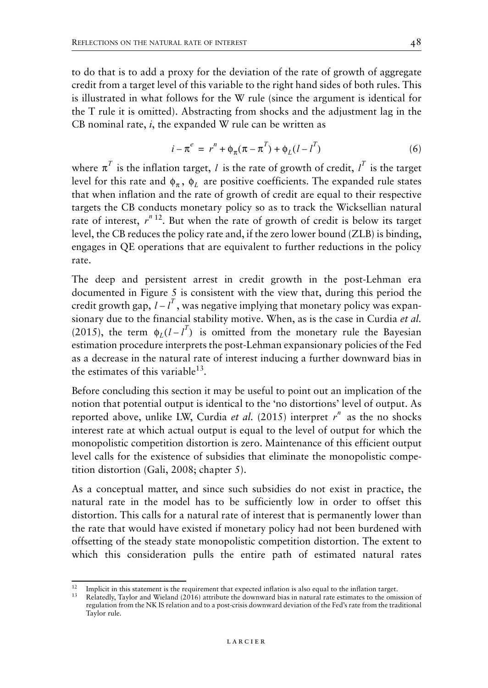to do that is to add a proxy for the deviation of the rate of growth of aggregate credit from a target level of this variable to the right hand sides of both rules. This is illustrated in what follows for the W rule (since the argument is identical for the T rule it is omitted). Abstracting from shocks and the adjustment lag in the CB nominal rate, *i*, the expanded W rule can be written as

$$
i - \pi^{e} = r^{n} + \phi_{\pi}(\pi - \pi^{T}) + \phi_{L}(l - l^{T})
$$
\n(6)

where  $\pi^T$  is the inflation target, *l* is the rate of growth of credit,  $l^T$  is the target level for this rate and  $\phi_{\pi}$ ,  $\phi_{L}$  are positive coefficients. The expanded rule states that when inflation and the rate of growth of credit are equal to their respective targets the CB conducts monetary policy so as to track the Wicksellian natural rate of interest,  $r^{n+12}$ . But when the rate of growth of credit is below its target level, the CB reduces the policy rate and, if the zero lower bound (ZLB) is binding, engages in QE operations that are equivalent to further reductions in the policy rate.

The deep and persistent arrest in credit growth in the post-Lehman era documented in Figure 5 is consistent with the view that, during this period the credit growth gap,  $l - l^T$ , was negative implying that monetary policy was expansionary due to the financial stability motive. When, as is the case in Curdia *et al.* (2015), the term  $\phi_L (l - l^T)$  is omitted from the monetary rule the Bayesian estimation procedure interprets the post-Lehman expansionary policies of the Fed as a decrease in the natural rate of interest inducing a further downward bias in the estimates of this variable<sup>13</sup>.

Before concluding this section it may be useful to point out an implication of the notion that potential output is identical to the 'no distortions' level of output. As reported above, unlike LW, Curdia et al. (2015) interpret  $r^n$  as the no shocks interest rate at which actual output is equal to the level of output for which the monopolistic competition distortion is zero. Maintenance of this efficient output level calls for the existence of subsidies that eliminate the monopolistic competition distortion (Gali, 2008; chapter 5).

As a conceptual matter, and since such subsidies do not exist in practice, the natural rate in the model has to be sufficiently low in order to offset this distortion. This calls for a natural rate of interest that is permanently lower than the rate that would have existed if monetary policy had not been burdened with offsetting of the steady state monopolistic competition distortion. The extent to which this consideration pulls the entire path of estimated natural rates

<sup>&</sup>lt;sup>12</sup> Implicit in this statement is the requirement that expected inflation is also equal to the inflation target.  $13$  Relatedly, Taylor and Wieland (2016) attribute the downward bias in natural rate estimates to the omis

regulation from the NK IS relation and to a post-crisis downward deviation of the Fed's rate from the traditional Taylor rule.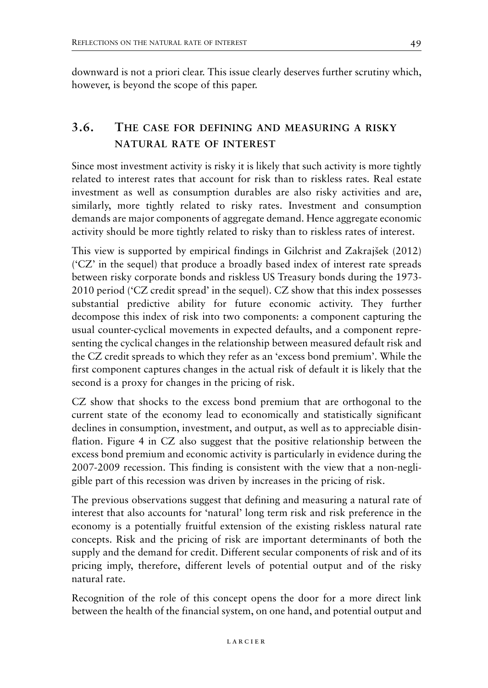downward is not a priori clear. This issue clearly deserves further scrutiny which, however, is beyond the scope of this paper.

## **3.6. THE CASE FOR DEFINING AND MEASURING A RISKY NATURAL RATE OF INTEREST**

Since most investment activity is risky it is likely that such activity is more tightly related to interest rates that account for risk than to riskless rates. Real estate investment as well as consumption durables are also risky activities and are, similarly, more tightly related to risky rates. Investment and consumption demands are major components of aggregate demand. Hence aggregate economic activity should be more tightly related to risky than to riskless rates of interest.

This view is supported by empirical findings in Gilchrist and Zakrajšek (2012) ('CZ' in the sequel) that produce a broadly based index of interest rate spreads between risky corporate bonds and riskless US Treasury bonds during the 1973- 2010 period ('CZ credit spread' in the sequel). CZ show that this index possesses substantial predictive ability for future economic activity. They further decompose this index of risk into two components: a component capturing the usual counter-cyclical movements in expected defaults, and a component representing the cyclical changes in the relationship between measured default risk and the CZ credit spreads to which they refer as an 'excess bond premium'. While the first component captures changes in the actual risk of default it is likely that the second is a proxy for changes in the pricing of risk.

CZ show that shocks to the excess bond premium that are orthogonal to the current state of the economy lead to economically and statistically significant declines in consumption, investment, and output, as well as to appreciable disinflation. Figure 4 in CZ also suggest that the positive relationship between the excess bond premium and economic activity is particularly in evidence during the 2007-2009 recession. This finding is consistent with the view that a non-negligible part of this recession was driven by increases in the pricing of risk.

The previous observations suggest that defining and measuring a natural rate of interest that also accounts for 'natural' long term risk and risk preference in the economy is a potentially fruitful extension of the existing riskless natural rate concepts. Risk and the pricing of risk are important determinants of both the supply and the demand for credit. Different secular components of risk and of its pricing imply, therefore, different levels of potential output and of the risky natural rate.

Recognition of the role of this concept opens the door for a more direct link between the health of the financial system, on one hand, and potential output and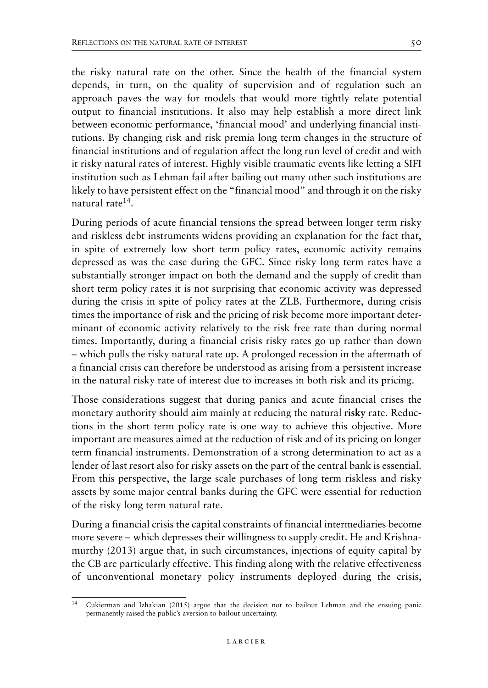the risky natural rate on the other. Since the health of the financial system depends, in turn, on the quality of supervision and of regulation such an approach paves the way for models that would more tightly relate potential output to financial institutions. It also may help establish a more direct link between economic performance, 'financial mood' and underlying financial institutions. By changing risk and risk premia long term changes in the structure of financial institutions and of regulation affect the long run level of credit and with it risky natural rates of interest. Highly visible traumatic events like letting a SIFI institution such as Lehman fail after bailing out many other such institutions are likely to have persistent effect on the "financial mood" and through it on the risky natural rate14.

During periods of acute financial tensions the spread between longer term risky and riskless debt instruments widens providing an explanation for the fact that, in spite of extremely low short term policy rates, economic activity remains depressed as was the case during the GFC. Since risky long term rates have a substantially stronger impact on both the demand and the supply of credit than short term policy rates it is not surprising that economic activity was depressed during the crisis in spite of policy rates at the ZLB. Furthermore, during crisis times the importance of risk and the pricing of risk become more important determinant of economic activity relatively to the risk free rate than during normal times. Importantly, during a financial crisis risky rates go up rather than down – which pulls the risky natural rate up. A prolonged recession in the aftermath of a financial crisis can therefore be understood as arising from a persistent increase in the natural risky rate of interest due to increases in both risk and its pricing.

Those considerations suggest that during panics and acute financial crises the monetary authority should aim mainly at reducing the natural **risky** rate. Reductions in the short term policy rate is one way to achieve this objective. More important are measures aimed at the reduction of risk and of its pricing on longer term financial instruments. Demonstration of a strong determination to act as a lender of last resort also for risky assets on the part of the central bank is essential. From this perspective, the large scale purchases of long term riskless and risky assets by some major central banks during the GFC were essential for reduction of the risky long term natural rate.

During a financial crisis the capital constraints of financial intermediaries become more severe – which depresses their willingness to supply credit. He and Krishnamurthy (2013) argue that, in such circumstances, injections of equity capital by the CB are particularly effective. This finding along with the relative effectiveness of unconventional monetary policy instruments deployed during the crisis,

<sup>14</sup> Cukierman and Izhakian (2015) argue that the decision not to bailout Lehman and the ensuing panic permanently raised the public's aversion to bailout uncertainty.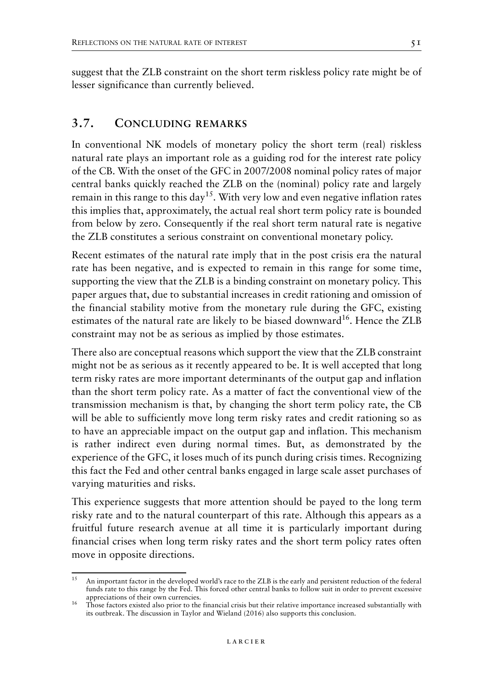suggest that the ZLB constraint on the short term riskless policy rate might be of lesser significance than currently believed.

### **3.7. CONCLUDING REMARKS**

In conventional NK models of monetary policy the short term (real) riskless natural rate plays an important role as a guiding rod for the interest rate policy of the CB. With the onset of the GFC in 2007/2008 nominal policy rates of major central banks quickly reached the ZLB on the (nominal) policy rate and largely remain in this range to this day<sup>15</sup>. With very low and even negative inflation rates this implies that, approximately, the actual real short term policy rate is bounded from below by zero. Consequently if the real short term natural rate is negative the ZLB constitutes a serious constraint on conventional monetary policy.

Recent estimates of the natural rate imply that in the post crisis era the natural rate has been negative, and is expected to remain in this range for some time, supporting the view that the ZLB is a binding constraint on monetary policy. This paper argues that, due to substantial increases in credit rationing and omission of the financial stability motive from the monetary rule during the GFC, existing estimates of the natural rate are likely to be biased downward<sup>16</sup>. Hence the ZLB constraint may not be as serious as implied by those estimates.

There also are conceptual reasons which support the view that the ZLB constraint might not be as serious as it recently appeared to be. It is well accepted that long term risky rates are more important determinants of the output gap and inflation than the short term policy rate. As a matter of fact the conventional view of the transmission mechanism is that, by changing the short term policy rate, the CB will be able to sufficiently move long term risky rates and credit rationing so as to have an appreciable impact on the output gap and inflation. This mechanism is rather indirect even during normal times. But, as demonstrated by the experience of the GFC, it loses much of its punch during crisis times. Recognizing this fact the Fed and other central banks engaged in large scale asset purchases of varying maturities and risks.

This experience suggests that more attention should be payed to the long term risky rate and to the natural counterpart of this rate. Although this appears as a fruitful future research avenue at all time it is particularly important during financial crises when long term risky rates and the short term policy rates often move in opposite directions.

<sup>15</sup> An important factor in the developed world's race to the ZLB is the early and persistent reduction of the federal funds rate to this range by the Fed. This forced other central banks to follow suit in order to prevent excessive appreciations of their own currencies.<br><sup>16</sup> Those factors existed also prior to the financial crisis but their relative importance increased substantially with

its outbreak. The discussion in Taylor and Wieland (2016) also supports this conclusion.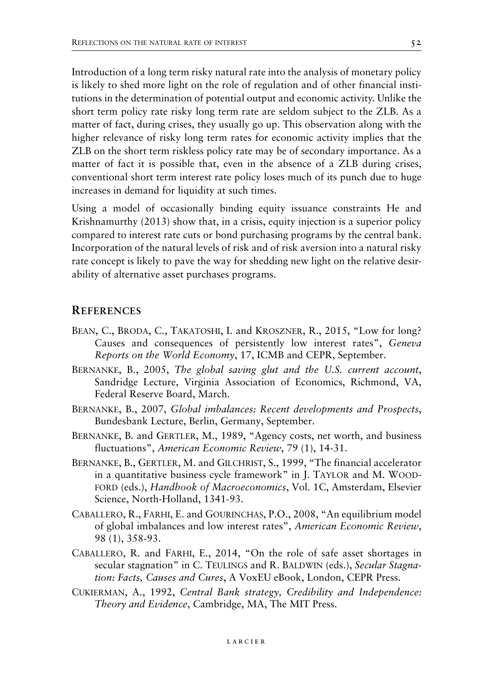Introduction of a long term risky natural rate into the analysis of monetary policy is likely to shed more light on the role of regulation and of other financial institutions in the determination of potential output and economic activity. Unlike the short term policy rate risky long term rate are seldom subject to the ZLB. As a matter of fact, during crises, they usually go up. This observation along with the higher relevance of risky long term rates for economic activity implies that the ZLB on the short term riskless policy rate may be of secondary importance. As a matter of fact it is possible that, even in the absence of a ZLB during crises, conventional short term interest rate policy loses much of its punch due to huge increases in demand for liquidity at such times.

Using a model of occasionally binding equity issuance constraints He and Krishnamurthy (2013) show that, in a crisis, equity injection is a superior policy compared to interest rate cuts or bond purchasing programs by the central bank. Incorporation of the natural levels of risk and of risk aversion into a natural risky rate concept is likely to pave the way for shedding new light on the relative desirability of alternative asset purchases programs.

#### **REFERENCES**

- BEAN, C., BRODA, C., TAKATOSHI, I. and KROSZNER, R., 2015, "Low for long? Causes and consequences of persistently low interest rates", *Geneva Reports on the World Economy*, 17, ICMB and CEPR, September.
- BERNANKE, B., 2005, *The global saving glut and the U.S. current account*, Sandridge Lecture, Virginia Association of Economics, Richmond, VA, Federal Reserve Board, March.
- BERNANKE, B., 2007, *Global imbalances: Recent developments and Prospects*, Bundesbank Lecture, Berlin, Germany, September.
- BERNANKE, B. and GERTLER, M., 1989, "Agency costs, net worth, and business fluctuations", *American Economic Review*, 79 (1), 14-31.
- BERNANKE, B., GERTLER, M. and GILCHRIST, S., 1999, "The financial accelerator in a quantitative business cycle framework" in J. TAYLOR and M. WOOD-FORD (eds.), *Handbook of Macroeconomics*, Vol. 1C, Amsterdam, Elsevier Science, North-Holland, 1341-93.
- CABALLERO, R., FARHI, E. and GOURINCHAS, P.O., 2008, "An equilibrium model of global imbalances and low interest rates", *American Economic Review*, 98 (1), 358-93.
- CABALLERO, R. and FARHI, E., 2014, "On the role of safe asset shortages in secular stagnation" in C. TEULINGS and R. BALDWIN (eds.), *Secular Stagnation: Facts, Causes and Cures*, A VoxEU eBook, London, CEPR Press.
- CUKIERMAN, A., 1992, *Central Bank strategy, Credibility and Independence: Theory and Evidence*, Cambridge, MA, The MIT Press.